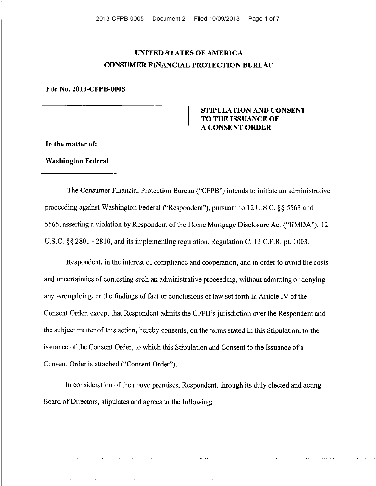# **UNITED STATES OF AMERICA CONSUMER FINANCIAL PROTECTION BUREAU**

**File** No. **2013-CFPB-0005** 

**In the matter of:** 

**Washington Federal** 

## **STIPULATION AND CONSENT TO THE ISSUANCE OF A CONSENT ORDER**

The Consumer Financial Protection Bureau ("CFPB") intends to initiate an administrative proceeding against Washington Federal ("Respondent"), pursuant to 12 U.S.C. §§ 5563 and 5565, asserting a violation by Respondent of the Home Mortgage Disclosure Act ("HMDA"), 12 U.S.C. §§ 2801 - 2810, and its implementing regulation, Regulation C, 12 C.F.R. pt. 1003.

Respondent, in the interest of compliance and cooperation, and in order to avoid the costs and uncertainties of contesting such an administrative proceeding, without admitting or denying any wrongdoing, or the findings of fact or conclusions of law set forth in Article IV of the Consent Order, except that Respondent admits the CFPB's jurisdiction over the Respondent and the subject matter of this action, hereby consents, on the terms stated in this Stipulation, to the issuance of the Consent Order, to which this Stipulation and Consent to the Issuance of a Consent Order is attached ("Consent Order").

In consideration of the above premises, Respondent, through its duly elected and acting Board of Directors, stipulates and agrees to the following: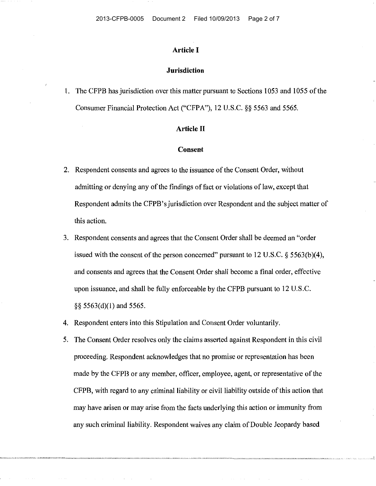### **Article I**

#### **Jurisdiction**

1. The CFPB has jurisdiction over this matter pursuant to Sections 1053 and 1055 of the Consumer Financial Protection Act ("CFPA"), 12 U.S.C. §§ 5563 and 5565.

## **Article II**

#### **Consent**

- 2. Respondent consents and agrees to the issuance of the Consent Order, without admitting or denying any of the findings of fact or violations of law, except that Respondent admits the CFPB's jurisdiction over Respondent and the subject matter of this action.
- 3. Respondent consents and agrees that the Consent Order shall be deemed an "order issued with the consent of the person concerned" pursuant to 12 U.S.C.  $\S$  5563(b)(4), and consents and agrees that the Consent Order shall become a final order, effective upon issuance, and shall be fully enforceable by the CFPB pursuant to 12 U.S.C. §§ 5563(d)(l) and 5565.
- 4. Respondent enters into this Stipulation and Consent Order voluntarily.
- 5. The Consent Order resolves only the claims asserted against Respondent in this civil proceeding. Respondent acknowledges that no promise or representation has been made by the CFPB or any member, officer, employee, agent, or representative of the CFPB, with regard to any criminal liability or civil liability outside of this action that may have arisen or may arise from the facts underlying this action or immunity from any such criminal liability. Respondent waives any claim of Double Jeopardy based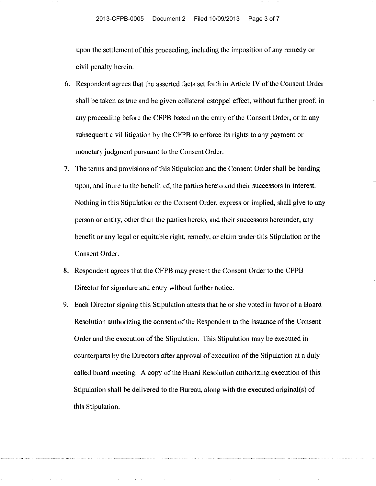upon the settlement of this proceeding, including the imposition of any remedy or civil penalty herein.

- 6. Respondent agrees that the asserted facts set forth in Article IV of the Consent Order shall be taken as true and be given collateral estoppel effect, without further proof, in any proceeding before the CFPB based on the entry of the Consent Order, or in any subsequent civil litigation by the CFPB to enforce its rights to any payment or monetary judgment pursuant to the Consent Order.
- 7. The terms and provisions of this Stipulation and the Consent Order shall be binding upon, and inure to the benefit of, the parties hereto and their successors in interest. Nothing in this Stipulation or the Consent Order, express or implied, shall give to any person or entity, other than the parties hereto, and their successors hereunder, any benefit or any legal or equitable right, remedy, or claim under this Stipulation or the Consent Order.
- 8. Respondent agrees that the CFPB may present the Consent Order to the CFPB Director for signature and entry without further notice.
- 9. Each Director signing this Stipulation attests that he or she voted in favor of a Board Resolution authorizing the consent of the Respondent to the issuance of the Consent Order and the execution of the Stipulation. This Stipulation may be executed in counterparts by the Directors after approval of execution of the Stipulation at a duly called board meeting. A copy of the Board Resolution authorizing execution of this Stipulation shall be delivered to the Bureau, along with the executed original(s) of this Stipulation.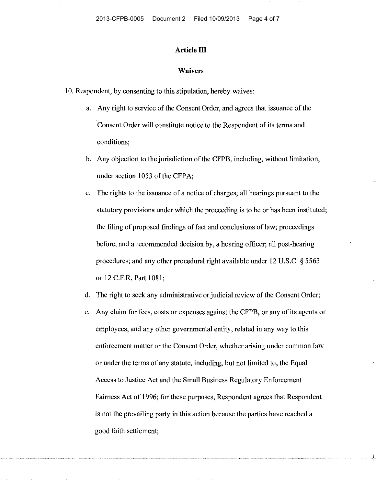## **Article III**

#### **Waivers**

10. Respondent, by consenting to this stipulation, hereby waives:

- a. Any right to service of the Consent Order, and agrees that issuance of the Consent Order will constitute notice to the Respondent of its terms and conditions;
- b. Any objection to the jurisdiction of the CFPB, including, without limitation, under section 1053 of the CFPA;
- c. The rights to the issuance of a notice of charges; all hearings pursuant to the statutory provisions under which the proceeding is to be or has been instituted; the filing of proposed findings of fact and conclusions of law; proceedings before, and a recommended decision by, a hearing officer; all post-hearing procedures; and any other procedural right available under 12 U.S.C. § 5563 or 12 C.F.R. Part 1081;
- d. The right to seek any administrative or judicial review of the Consent Order;
- e. Any claim for fees, costs or expenses against the CFPB, or any of its agents or employees, and any other governmental entity, related in any way to this enforcement matter or the Consent Order, whether arising under common law or under the terms of any statute, including, but not limited to, the Equal Access to Justice Act and the Small Business Regulatory Enforcement Fairness Act of 1996; for these purposes, Respondent agrees that Respondent is not the prevailing party in this action because the parties have reached a good faith settlement;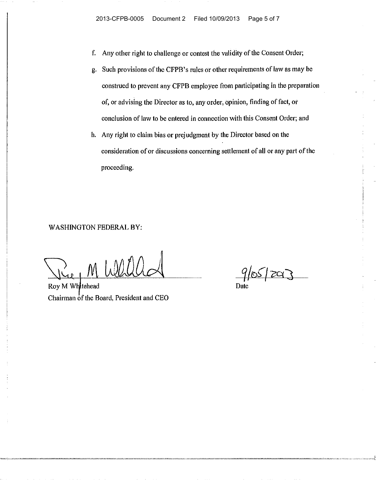- f. Any other right to challenge or contest the validity of the Consent Order;
- g. Such provisions of the CFPB's rules or other requirements of law as may be construed to prevent any CFPB employee from participating in ihe preparation of, or advising the Director as to, any order, opinion, finding of fact, or conclusion of law to be entered in connection with this Consent Order; and
- h. Any right to claim bias or prejudgment by the Director based on the consideration of or discussions concerning settlement of all or any part of the proceeding.

WASHINGTON FEDERAL BY:

Ree M Wall

Chairman of the Board, President and CEO

 $9/05/29$ Date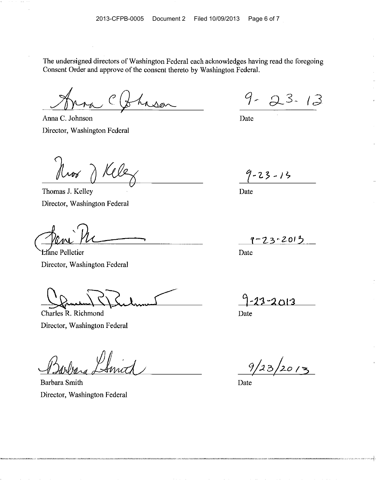The undersigned directors of Washington Federal each acknowledges having read the foregoing Consent Order and approve of the consent thereto by Washington Federal.

Anna C. Johnson Director, Washington Federal

Roor

Thomas J. Kelley Director, Washington Federal

.,

Liane Pelletier Director, Washington Federal

Charles R. Richmond Director, Washington Federal

Barbara Smith Director, Washington Federal

 $9 - 23 - 13$ 

Date

 $9 - 23 - 13$ 

Date

 $9 - 23 - 2013$ 

Date

 $-2013$ 

Date

 $9/23/2013$ 

. The same space of the same space of the same space of the same space  $\alpha$ 

Date

 $\sim 10^{-1}$ 

 $\sim 10^{11}$